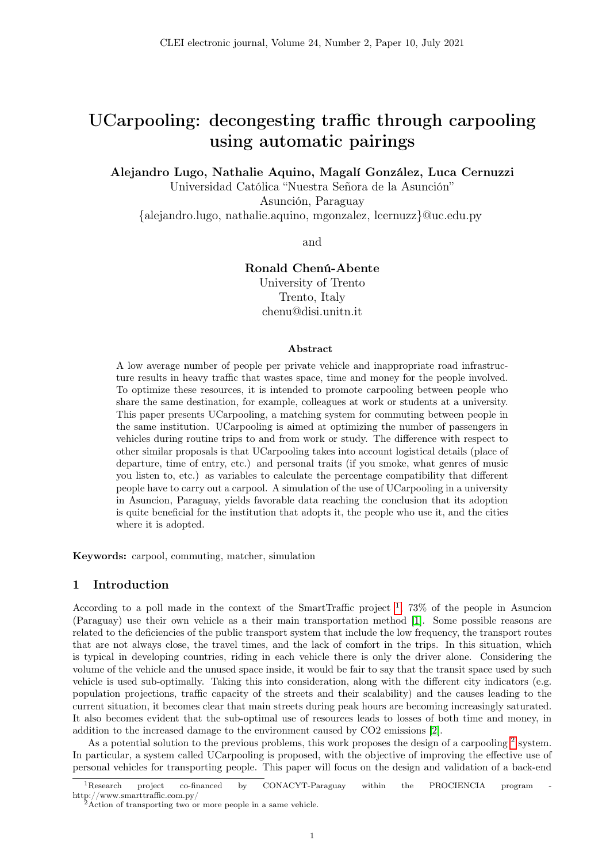# UCarpooling: decongesting traffic through carpooling using automatic pairings

Alejandro Lugo, Nathalie Aquino, Magalí González, Luca Cernuzzi

Universidad Católica "Nuestra Señora de la Asunción"

Asunción, Paraguay

{alejandro.lugo, nathalie.aquino, mgonzalez, lcernuzz}@uc.edu.py

and

# Ronald Chenú-Abente

University of Trento Trento, Italy chenu@disi.unitn.it

#### Abstract

A low average number of people per private vehicle and inappropriate road infrastructure results in heavy traffic that wastes space, time and money for the people involved. To optimize these resources, it is intended to promote carpooling between people who share the same destination, for example, colleagues at work or students at a university. This paper presents UCarpooling, a matching system for commuting between people in the same institution. UCarpooling is aimed at optimizing the number of passengers in vehicles during routine trips to and from work or study. The difference with respect to other similar proposals is that UCarpooling takes into account logistical details (place of departure, time of entry, etc.) and personal traits (if you smoke, what genres of music you listen to, etc.) as variables to calculate the percentage compatibility that different people have to carry out a carpool. A simulation of the use of UCarpooling in a university in Asuncion, Paraguay, yields favorable data reaching the conclusion that its adoption is quite beneficial for the institution that adopts it, the people who use it, and the cities where it is adopted.

Keywords: carpool, commuting, matcher, simulation

# 1 Introduction

According to a poll made in the context of the SmartTraffic project  $\frac{1}{1}$  $\frac{1}{1}$  $\frac{1}{1}$ , 73% of the people in Asuncion (Paraguay) use their own vehicle as a their main transportation method [\[1\]](#page-15-0). Some possible reasons are related to the deficiencies of the public transport system that include the low frequency, the transport routes that are not always close, the travel times, and the lack of comfort in the trips. In this situation, which is typical in developing countries, riding in each vehicle there is only the driver alone. Considering the volume of the vehicle and the unused space inside, it would be fair to say that the transit space used by such vehicle is used sub-optimally. Taking this into consideration, along with the different city indicators (e.g. population projections, traffic capacity of the streets and their scalability) and the causes leading to the current situation, it becomes clear that main streets during peak hours are becoming increasingly saturated. It also becomes evident that the sub-optimal use of resources leads to losses of both time and money, in addition to the increased damage to the environment caused by CO2 emissions [\[2\]](#page-15-1).

As a potential solution to the previous problems, this work proposes the design of a carpooling  $2$  system. In particular, a system called UCarpooling is proposed, with the objective of improving the effective use of personal vehicles for transporting people. This paper will focus on the design and validation of a back-end

<span id="page-0-0"></span><sup>&</sup>lt;sup>1</sup>Research project co-financed by CONACYT-Paraguay within the PROCIENCIA program http://www.smarttraffic.com.py/

<span id="page-0-1"></span><sup>2</sup>Action of transporting two or more people in a same vehicle.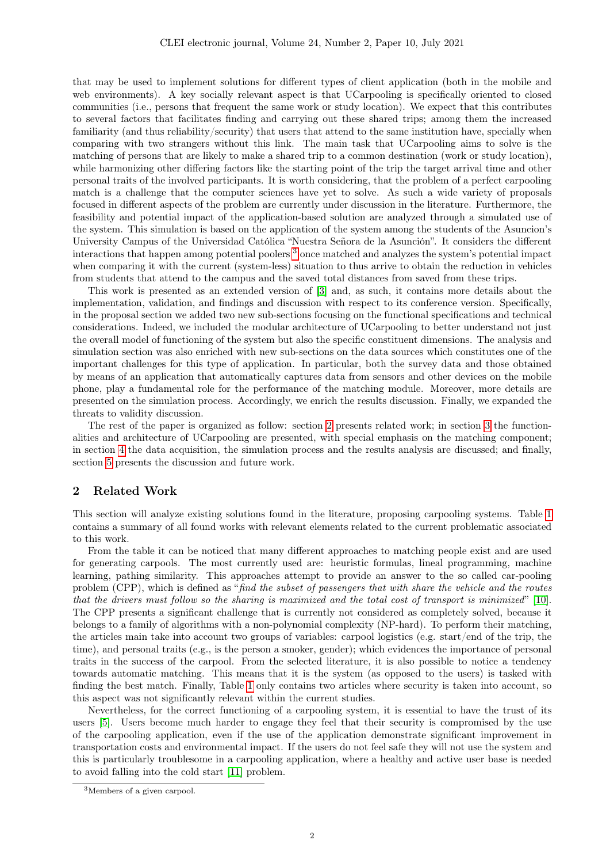that may be used to implement solutions for different types of client application (both in the mobile and web environments). A key socially relevant aspect is that UCarpooling is specifically oriented to closed communities (i.e., persons that frequent the same work or study location). We expect that this contributes to several factors that facilitates finding and carrying out these shared trips; among them the increased familiarity (and thus reliability/security) that users that attend to the same institution have, specially when comparing with two strangers without this link. The main task that UCarpooling aims to solve is the matching of persons that are likely to make a shared trip to a common destination (work or study location), while harmonizing other differing factors like the starting point of the trip the target arrival time and other personal traits of the involved participants. It is worth considering, that the problem of a perfect carpooling match is a challenge that the computer sciences have yet to solve. As such a wide variety of proposals focused in different aspects of the problem are currently under discussion in the literature. Furthermore, the feasibility and potential impact of the application-based solution are analyzed through a simulated use of the system. This simulation is based on the application of the system among the students of the Asuncion's University Campus of the Universidad Católica "Nuestra Señora de la Asunción". It considers the different interactions that happen among potential poolers [3](#page-1-0) once matched and analyzes the system's potential impact when comparing it with the current (system-less) situation to thus arrive to obtain the reduction in vehicles from students that attend to the campus and the saved total distances from saved from these trips.

This work is presented as an extended version of [\[3\]](#page-15-2) and, as such, it contains more details about the implementation, validation, and findings and discussion with respect to its conference version. Specifically, in the proposal section we added two new sub-sections focusing on the functional specifications and technical considerations. Indeed, we included the modular architecture of UCarpooling to better understand not just the overall model of functioning of the system but also the specific constituent dimensions. The analysis and simulation section was also enriched with new sub-sections on the data sources which constitutes one of the important challenges for this type of application. In particular, both the survey data and those obtained by means of an application that automatically captures data from sensors and other devices on the mobile phone, play a fundamental role for the performance of the matching module. Moreover, more details are presented on the simulation process. Accordingly, we enrich the results discussion. Finally, we expanded the threats to validity discussion.

The rest of the paper is organized as follow: section [2](#page-1-1) presents related work; in section [3](#page-3-0) the functionalities and architecture of UCarpooling are presented, with special emphasis on the matching component; in section [4](#page-8-0) the data acquisition, the simulation process and the results analysis are discussed; and finally, section [5](#page-14-0) presents the discussion and future work.

# <span id="page-1-1"></span>2 Related Work

This section will analyze existing solutions found in the literature, proposing carpooling systems. Table [1](#page-2-0) contains a summary of all found works with relevant elements related to the current problematic associated to this work.

From the table it can be noticed that many different approaches to matching people exist and are used for generating carpools. The most currently used are: heuristic formulas, lineal programming, machine learning, pathing similarity. This approaches attempt to provide an answer to the so called car-pooling problem (CPP), which is defined as "find the subset of passengers that with share the vehicle and the routes that the drivers must follow so the sharing is maximized and the total cost of transport is minimized " [\[10\]](#page-16-0). The CPP presents a significant challenge that is currently not considered as completely solved, because it belongs to a family of algorithms with a non-polynomial complexity (NP-hard). To perform their matching, the articles main take into account two groups of variables: carpool logistics (e.g. start/end of the trip, the time), and personal traits (e.g., is the person a smoker, gender); which evidences the importance of personal traits in the success of the carpool. From the selected literature, it is also possible to notice a tendency towards automatic matching. This means that it is the system (as opposed to the users) is tasked with finding the best match. Finally, Table [1](#page-2-0) only contains two articles where security is taken into account, so this aspect was not significantly relevant within the current studies.

Nevertheless, for the correct functioning of a carpooling system, it is essential to have the trust of its users [\[5\]](#page-15-3). Users become much harder to engage they feel that their security is compromised by the use of the carpooling application, even if the use of the application demonstrate significant improvement in transportation costs and environmental impact. If the users do not feel safe they will not use the system and this is particularly troublesome in a carpooling application, where a healthy and active user base is needed to avoid falling into the cold start [\[11\]](#page-16-1) problem.

<span id="page-1-0"></span><sup>3</sup>Members of a given carpool.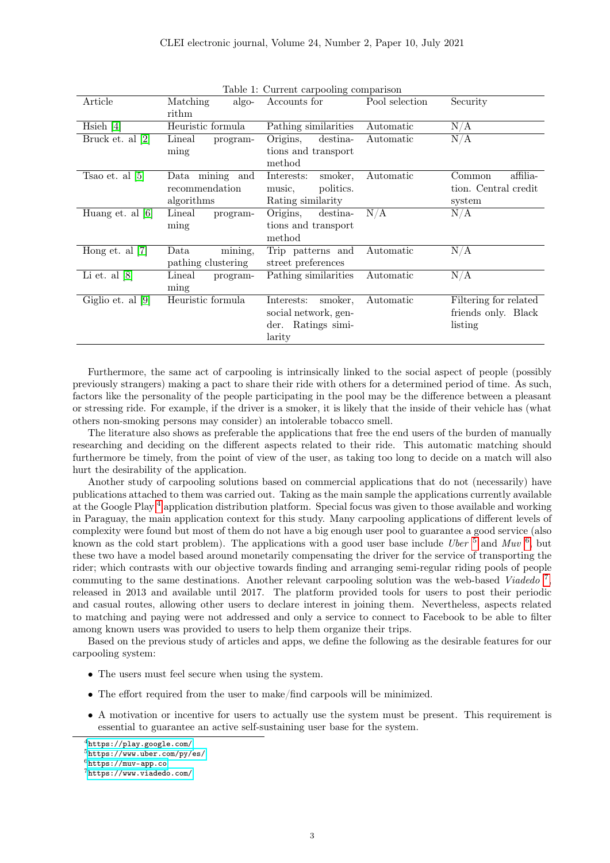<span id="page-2-0"></span>Table 1: Current carpooling comparison

| rable 1. Ourrent carpooning comparison |                    |                       |                |                       |  |  |  |
|----------------------------------------|--------------------|-----------------------|----------------|-----------------------|--|--|--|
| Article                                | Matching<br>algo-  | Accounts for          | Pool selection | Security              |  |  |  |
|                                        | rithm              |                       |                |                       |  |  |  |
| Hsieh $[4]$                            | Heuristic formula  | Pathing similarities  | Automatic      | N/A                   |  |  |  |
|                                        |                    |                       |                |                       |  |  |  |
| Bruck et. al [2]                       | Lineal<br>program- | Origins,<br>destina-  | Automatic      | N/A                   |  |  |  |
|                                        | ming               | tions and transport   |                |                       |  |  |  |
|                                        |                    | method                |                |                       |  |  |  |
| Tsao et. al $[5]$                      | Data mining<br>and | Interests:<br>smoker. | Automatic      | affilia-<br>Common    |  |  |  |
|                                        | recommendation     | politics.<br>music.   |                | tion. Central credit  |  |  |  |
|                                        | algorithms         | Rating similarity     |                | system                |  |  |  |
| Huang et. al $[6]$                     | Lineal<br>program- | Origins,<br>destina-  | N/A            | N/A                   |  |  |  |
|                                        | ming               | tions and transport   |                |                       |  |  |  |
|                                        |                    | method                |                |                       |  |  |  |
| Hong et. al $[7]$                      | mining,<br>Data    | Trip patterns and     | Automatic      | N/A                   |  |  |  |
|                                        | pathing clustering | street preferences    |                |                       |  |  |  |
|                                        |                    |                       |                |                       |  |  |  |
| Li et. al $[8]$                        | Lineal<br>program- | Pathing similarities  | Automatic      | N/A                   |  |  |  |
|                                        | ming               |                       |                |                       |  |  |  |
| Giglio et. al $[9]$                    | Heuristic formula  | smoker,<br>Interests: | Automatic      | Filtering for related |  |  |  |
|                                        |                    | social network, gen-  |                | friends only. Black   |  |  |  |
|                                        |                    | der. Ratings simi-    |                | listing               |  |  |  |
|                                        |                    | larity                |                |                       |  |  |  |
|                                        |                    |                       |                |                       |  |  |  |

Furthermore, the same act of carpooling is intrinsically linked to the social aspect of people (possibly previously strangers) making a pact to share their ride with others for a determined period of time. As such, factors like the personality of the people participating in the pool may be the difference between a pleasant or stressing ride. For example, if the driver is a smoker, it is likely that the inside of their vehicle has (what others non-smoking persons may consider) an intolerable tobacco smell.

The literature also shows as preferable the applications that free the end users of the burden of manually researching and deciding on the different aspects related to their ride. This automatic matching should furthermore be timely, from the point of view of the user, as taking too long to decide on a match will also hurt the desirability of the application.

Another study of carpooling solutions based on commercial applications that do not (necessarily) have publications attached to them was carried out. Taking as the main sample the applications currently available at the Google Play [4](#page-2-1) application distribution platform. Special focus was given to those available and working in Paraguay, the main application context for this study. Many carpooling applications of different levels of complexity were found but most of them do not have a big enough user pool to guarantee a good service (also known as the cold start problem). The applications with a good user base include Uber  $^5$  $^5$  and Muv  $^6$  $^6$ , but these two have a model based around monetarily compensating the driver for the service of transporting the rider; which contrasts with our objective towards finding and arranging semi-regular riding pools of people commuting to the same destinations. Another relevant carpooling solution was the web-based Viadedo<sup>[7](#page-2-4)</sup>, released in 2013 and available until 2017. The platform provided tools for users to post their periodic and casual routes, allowing other users to declare interest in joining them. Nevertheless, aspects related to matching and paying were not addressed and only a service to connect to Facebook to be able to filter among known users was provided to users to help them organize their trips.

Based on the previous study of articles and apps, we define the following as the desirable features for our carpooling system:

- The users must feel secure when using the system.
- The effort required from the user to make/find carpools will be minimized.
- A motivation or incentive for users to actually use the system must be present. This requirement is essential to guarantee an active self-sustaining user base for the system.

<span id="page-2-1"></span><sup>4</sup><https://play.google.com/>

<span id="page-2-2"></span><sup>5</sup><https://www.uber.com/py/es/>

<span id="page-2-3"></span> $6$ <https://muv-app.co>

<span id="page-2-4"></span><sup>7</sup><https://www.viadedo.com/>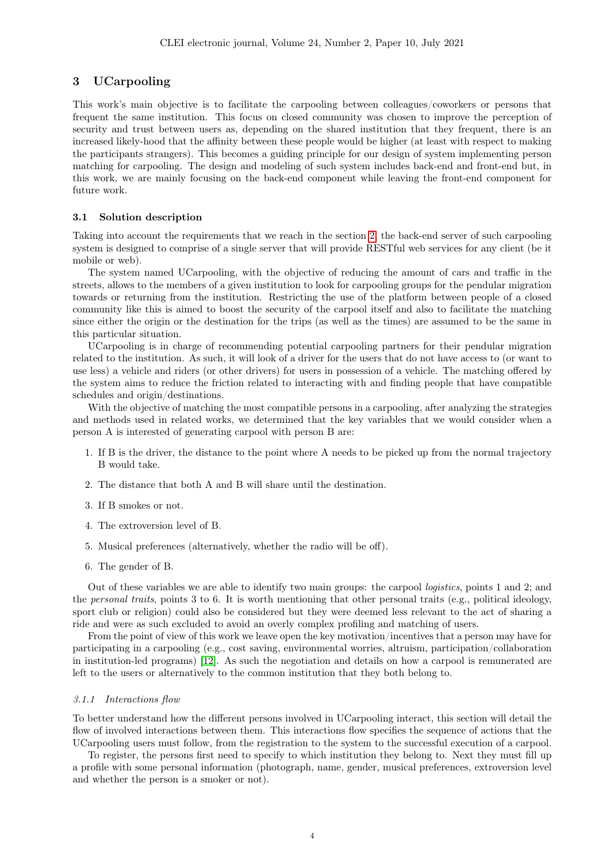# <span id="page-3-0"></span>3 UCarpooling

This work's main objective is to facilitate the carpooling between colleagues/coworkers or persons that frequent the same institution. This focus on closed community was chosen to improve the perception of security and trust between users as, depending on the shared institution that they frequent, there is an increased likely-hood that the affinity between these people would be higher (at least with respect to making the participants strangers). This becomes a guiding principle for our design of system implementing person matching for carpooling. The design and modeling of such system includes back-end and front-end but, in this work, we are mainly focusing on the back-end component while leaving the front-end component for future work.

#### 3.1 Solution description

Taking into account the requirements that we reach in the section [2,](#page-1-1) the back-end server of such carpooling system is designed to comprise of a single server that will provide RESTful web services for any client (be it mobile or web).

The system named UCarpooling, with the objective of reducing the amount of cars and traffic in the streets, allows to the members of a given institution to look for carpooling groups for the pendular migration towards or returning from the institution. Restricting the use of the platform between people of a closed community like this is aimed to boost the security of the carpool itself and also to facilitate the matching since either the origin or the destination for the trips (as well as the times) are assumed to be the same in this particular situation.

UCarpooling is in charge of recommending potential carpooling partners for their pendular migration related to the institution. As such, it will look of a driver for the users that do not have access to (or want to use less) a vehicle and riders (or other drivers) for users in possession of a vehicle. The matching offered by the system aims to reduce the friction related to interacting with and finding people that have compatible schedules and origin/destinations.

With the objective of matching the most compatible persons in a carpooling, after analyzing the strategies and methods used in related works, we determined that the key variables that we would consider when a person A is interested of generating carpool with person B are:

- 1. If B is the driver, the distance to the point where A needs to be picked up from the normal trajectory B would take.
- 2. The distance that both A and B will share until the destination.
- 3. If B smokes or not.
- 4. The extroversion level of B.
- 5. Musical preferences (alternatively, whether the radio will be off).
- 6. The gender of B.

Out of these variables we are able to identify two main groups: the carpool logistics, points 1 and 2; and the personal traits, points 3 to 6. It is worth mentioning that other personal traits (e.g., political ideology, sport club or religion) could also be considered but they were deemed less relevant to the act of sharing a ride and were as such excluded to avoid an overly complex profiling and matching of users.

From the point of view of this work we leave open the key motivation/incentives that a person may have for participating in a carpooling (e.g., cost saving, environmental worries, altruism, participation/collaboration in institution-led programs) [\[12\]](#page-16-2). As such the negotiation and details on how a carpool is remunerated are left to the users or alternatively to the common institution that they both belong to.

### 3.1.1 Interactions flow

To better understand how the different persons involved in UCarpooling interact, this section will detail the flow of involved interactions between them. This interactions flow specifies the sequence of actions that the UCarpooling users must follow, from the registration to the system to the successful execution of a carpool.

To register, the persons first need to specify to which institution they belong to. Next they must fill up a profile with some personal information (photograph, name, gender, musical preferences, extroversion level and whether the person is a smoker or not).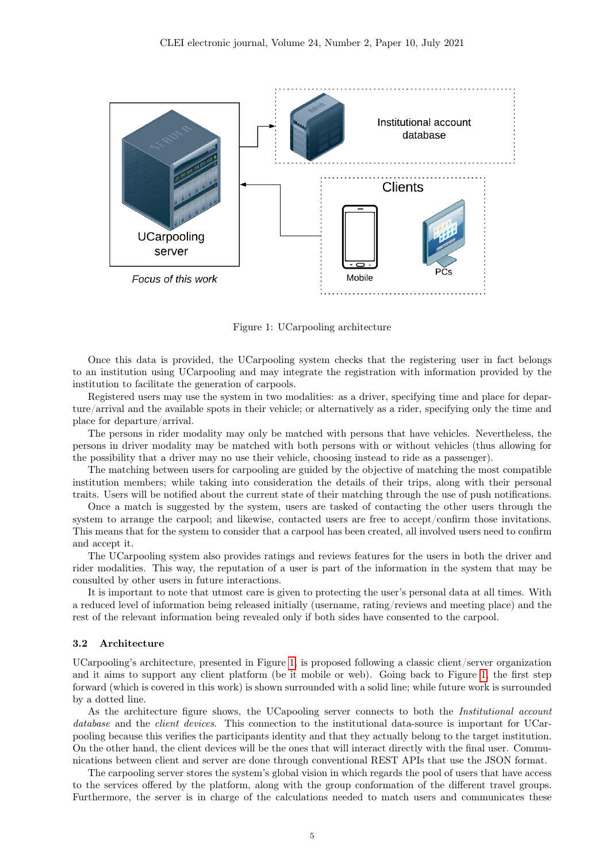

<span id="page-4-0"></span>Figure 1: UCarpooling architecture

Once this data is provided, the UCarpooling system checks that the registering user in fact belongs to an institution using UCarpooling and may integrate the registration with information provided by the institution to facilitate the generation of carpools.

Registered users may use the system in two modalities: as a driver, specifying time and place for departure/arrival and the available spots in their vehicle; or alternatively as a rider, specifying only the time and place for departure/arrival.

The persons in rider modality may only be matched with persons that have vehicles. Nevertheless, the persons in driver modality may be matched with both persons with or without vehicles (thus allowing for the possibility that a driver may no use their vehicle, choosing instead to ride as a passenger).

The matching between users for carpooling are guided by the objective of matching the most compatible institution members; while taking into consideration the details of their trips, along with their personal traits. Users will be notified about the current state of their matching through the use of push notifications.

Once a match is suggested by the system, users are tasked of contacting the other users through the system to arrange the carpool; and likewise, contacted users are free to accept/confirm those invitations. This means that for the system to consider that a carpool has been created, all involved users need to confirm and accept it.

The UCarpooling system also provides ratings and reviews features for the users in both the driver and rider modalities. This way, the reputation of a user is part of the information in the system that may be consulted by other users in future interactions.

It is important to note that utmost care is given to protecting the user's personal data at all times. With a reduced level of information being released initially (username, rating/reviews and meeting place) and the rest of the relevant information being revealed only if both sides have consented to the carpool.

## 3.2 Architecture

UCarpooling's architecture, presented in Figure [1,](#page-4-0) is proposed following a classic client/server organization and it aims to support any client platform (be it mobile or web). Going back to Figure [1,](#page-4-0) the first step forward (which is covered in this work) is shown surrounded with a solid line; while future work is surrounded by a dotted line.

As the architecture figure shows, the UCapooling server connects to both the *Institutional account* database and the *client devices*. This connection to the institutional data-source is important for UCarpooling because this verifies the participants identity and that they actually belong to the target institution. On the other hand, the client devices will be the ones that will interact directly with the final user. Communications between client and server are done through conventional REST APIs that use the JSON format.

The carpooling server stores the system's global vision in which regards the pool of users that have access to the services offered by the platform, along with the group conformation of the different travel groups. Furthermore, the server is in charge of the calculations needed to match users and communicates these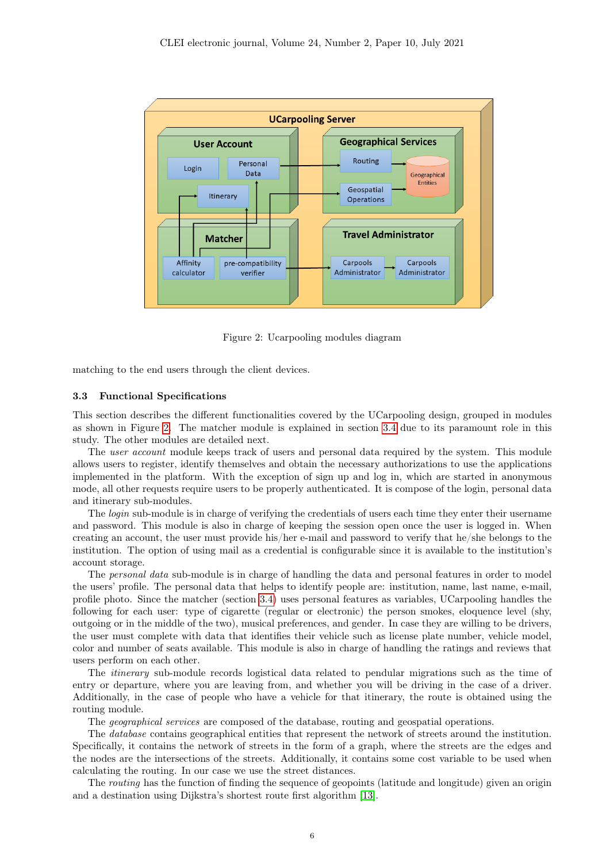

<span id="page-5-0"></span>Figure 2: Ucarpooling modules diagram

matching to the end users through the client devices.

#### 3.3 Functional Specifications

This section describes the different functionalities covered by the UCarpooling design, grouped in modules as shown in Figure [2.](#page-5-0) The matcher module is explained in section [3.4](#page-6-0) due to its paramount role in this study. The other modules are detailed next.

The user account module keeps track of users and personal data required by the system. This module allows users to register, identify themselves and obtain the necessary authorizations to use the applications implemented in the platform. With the exception of sign up and log in, which are started in anonymous mode, all other requests require users to be properly authenticated. It is compose of the login, personal data and itinerary sub-modules.

The *login* sub-module is in charge of verifying the credentials of users each time they enter their username and password. This module is also in charge of keeping the session open once the user is logged in. When creating an account, the user must provide his/her e-mail and password to verify that he/she belongs to the institution. The option of using mail as a credential is configurable since it is available to the institution's account storage.

The personal data sub-module is in charge of handling the data and personal features in order to model the users' profile. The personal data that helps to identify people are: institution, name, last name, e-mail, profile photo. Since the matcher (section [3.4\)](#page-6-0) uses personal features as variables, UCarpooling handles the following for each user: type of cigarette (regular or electronic) the person smokes, eloquence level (shy, outgoing or in the middle of the two), musical preferences, and gender. In case they are willing to be drivers, the user must complete with data that identifies their vehicle such as license plate number, vehicle model, color and number of seats available. This module is also in charge of handling the ratings and reviews that users perform on each other.

The itinerary sub-module records logistical data related to pendular migrations such as the time of entry or departure, where you are leaving from, and whether you will be driving in the case of a driver. Additionally, in the case of people who have a vehicle for that itinerary, the route is obtained using the routing module.

The geographical services are composed of the database, routing and geospatial operations.

The database contains geographical entities that represent the network of streets around the institution. Specifically, it contains the network of streets in the form of a graph, where the streets are the edges and the nodes are the intersections of the streets. Additionally, it contains some cost variable to be used when calculating the routing. In our case we use the street distances.

The *routing* has the function of finding the sequence of geopoints (latitude and longitude) given an origin and a destination using Dijkstra's shortest route first algorithm [\[13\]](#page-16-3).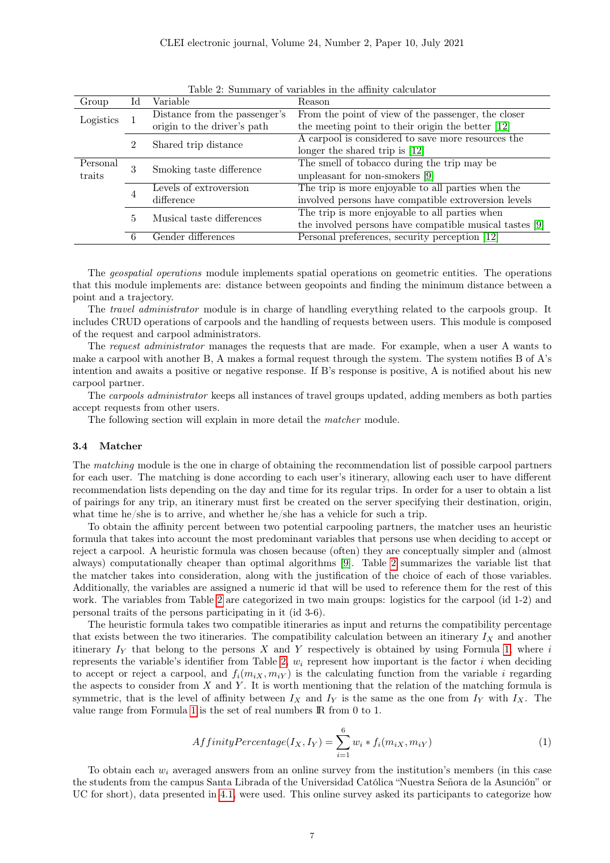|          |                                     | of <i>residence</i> in the chine, correction<br>Reason                                    |  |
|----------|-------------------------------------|-------------------------------------------------------------------------------------------|--|
|          | Distance from the passenger's       | From the point of view of the passenger, the closer                                       |  |
|          | origin to the driver's path         | the meeting point to their origin the better [12]                                         |  |
|          |                                     | A carpool is considered to save more resources the                                        |  |
|          |                                     | longer the shared trip is $[12]$                                                          |  |
| Personal |                                     | The smell of tobacco during the trip may be                                               |  |
|          |                                     | unpleasant for non-smokers [9]                                                            |  |
|          | Levels of extroversion              | The trip is more enjoyable to all parties when the                                        |  |
|          | difference                          | involved persons have compatible extroversion levels                                      |  |
|          |                                     | The trip is more enjoyable to all parties when                                            |  |
|          |                                     | the involved persons have compatible musical tastes [9]                                   |  |
| 6        | Gender differences                  | Personal preferences, security perception [12]                                            |  |
|          | Id<br>$\overline{2}$<br>3<br>4<br>5 | Variable<br>Shared trip distance<br>Smoking taste difference<br>Musical taste differences |  |

<span id="page-6-1"></span>Table 2: Summary of variables in the affinity calculator

The geospatial operations module implements spatial operations on geometric entities. The operations that this module implements are: distance between geopoints and finding the minimum distance between a point and a trajectory.

The *travel administrator* module is in charge of handling everything related to the carpools group. It includes CRUD operations of carpools and the handling of requests between users. This module is composed of the request and carpool administrators.

The request administrator manages the requests that are made. For example, when a user A wants to make a carpool with another B, A makes a formal request through the system. The system notifies B of A's intention and awaits a positive or negative response. If B's response is positive, A is notified about his new carpool partner.

The carpools administrator keeps all instances of travel groups updated, adding members as both parties accept requests from other users.

The following section will explain in more detail the matcher module.

#### <span id="page-6-0"></span>3.4 Matcher

The matching module is the one in charge of obtaining the recommendation list of possible carpool partners for each user. The matching is done according to each user's itinerary, allowing each user to have different recommendation lists depending on the day and time for its regular trips. In order for a user to obtain a list of pairings for any trip, an itinerary must first be created on the server specifying their destination, origin, what time he/she is to arrive, and whether he/she has a vehicle for such a trip.

To obtain the affinity percent between two potential carpooling partners, the matcher uses an heuristic formula that takes into account the most predominant variables that persons use when deciding to accept or reject a carpool. A heuristic formula was chosen because (often) they are conceptually simpler and (almost always) computationally cheaper than optimal algorithms [\[9\]](#page-15-8). Table [2](#page-6-1) summarizes the variable list that the matcher takes into consideration, along with the justification of the choice of each of those variables. Additionally, the variables are assigned a numeric id that will be used to reference them for the rest of this work. The variables from Table [2](#page-6-1) are categorized in two main groups: logistics for the carpool (id 1-2) and personal traits of the persons participating in it (id 3-6).

The heuristic formula takes two compatible itineraries as input and returns the compatibility percentage that exists between the two itineraries. The compatibility calculation between an itinerary  $I_X$  and another itinerary  $I_Y$  that belong to the persons X and Y respectively is obtained by using Formula [1,](#page-6-2) where i represents the variable's identifier from Table [2,](#page-6-1)  $w_i$  represent how important is the factor i when deciding to accept or reject a carpool, and  $f_i(m_{iX}, m_{iY})$  is the calculating function from the variable i regarding the aspects to consider from  $X$  and  $Y$ . It is worth mentioning that the relation of the matching formula is symmetric, that is the level of affinity between  $I_X$  and  $I_Y$  is the same as the one from  $I_Y$  with  $I_X$ . The value range from Formula [1](#page-6-2) is the set of real numbers IR from 0 to 1.

<span id="page-6-2"></span>
$$
AffinityPercentage(I_X, I_Y) = \sum_{i=1}^{6} w_i * f_i(m_{iX}, m_{iY})
$$
\n(1)

To obtain each  $w_i$  averaged answers from an online survey from the institution's members (in this case the students from the campus Santa Librada of the Universidad Católica "Nuestra Señora de la Asunción" or UC for short), data presented in [4.1,](#page-9-0) were used. This online survey asked its participants to categorize how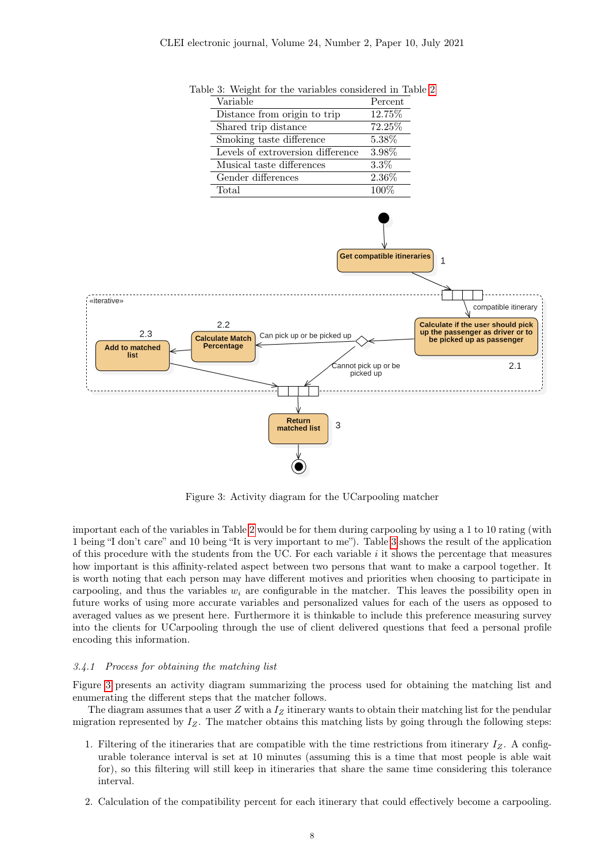

<span id="page-7-0"></span>Table 3: Weight for the variables considered in Table [2](#page-6-1)

<span id="page-7-1"></span>Figure 3: Activity diagram for the UCarpooling matcher

important each of the variables in Table [2](#page-6-1) would be for them during carpooling by using a 1 to 10 rating (with 1 being "I don't care" and 10 being "It is very important to me"). Table [3](#page-7-0) shows the result of the application of this procedure with the students from the UC. For each variable  $i$  it shows the percentage that measures how important is this affinity-related aspect between two persons that want to make a carpool together. It is worth noting that each person may have different motives and priorities when choosing to participate in carpooling, and thus the variables  $w_i$  are configurable in the matcher. This leaves the possibility open in future works of using more accurate variables and personalized values for each of the users as opposed to averaged values as we present here. Furthermore it is thinkable to include this preference measuring survey into the clients for UCarpooling through the use of client delivered questions that feed a personal profile encoding this information.

### 3.4.1 Process for obtaining the matching list

Figure [3](#page-7-1) presents an activity diagram summarizing the process used for obtaining the matching list and enumerating the different steps that the matcher follows.

The diagram assumes that a user  $Z$  with a  $I<sub>Z</sub>$  itinerary wants to obtain their matching list for the pendular migration represented by  $I_Z$ . The matcher obtains this matching lists by going through the following steps:

- 1. Filtering of the itineraries that are compatible with the time restrictions from itinerary  $I_Z$ . A configurable tolerance interval is set at 10 minutes (assuming this is a time that most people is able wait for), so this filtering will still keep in itineraries that share the same time considering this tolerance interval.
- 2. Calculation of the compatibility percent for each itinerary that could effectively become a carpooling.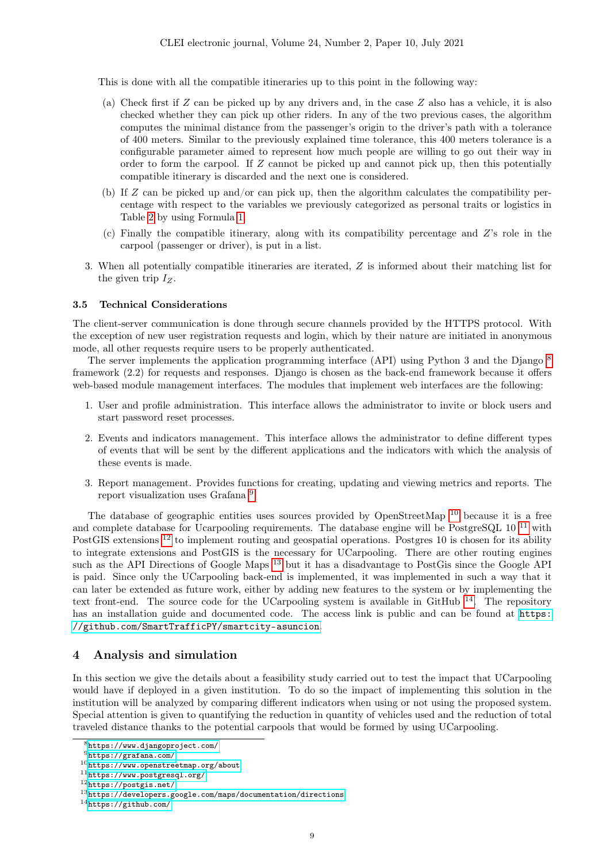This is done with all the compatible itineraries up to this point in the following way:

- (a) Check first if Z can be picked up by any drivers and, in the case Z also has a vehicle, it is also checked whether they can pick up other riders. In any of the two previous cases, the algorithm computes the minimal distance from the passenger's origin to the driver's path with a tolerance of 400 meters. Similar to the previously explained time tolerance, this 400 meters tolerance is a configurable parameter aimed to represent how much people are willing to go out their way in order to form the carpool. If  $Z$  cannot be picked up and cannot pick up, then this potentially compatible itinerary is discarded and the next one is considered.
- (b) If  $Z$  can be picked up and/or can pick up, then the algorithm calculates the compatibility percentage with respect to the variables we previously categorized as personal traits or logistics in Table [2](#page-6-1) by using Formula [1.](#page-6-2)
- (c) Finally the compatible itinerary, along with its compatibility percentage and Z's role in the carpool (passenger or driver), is put in a list.
- 3. When all potentially compatible itineraries are iterated, Z is informed about their matching list for the given trip  $I_Z$ .

#### 3.5 Technical Considerations

The client-server communication is done through secure channels provided by the HTTPS protocol. With the exception of new user registration requests and login, which by their nature are initiated in anonymous mode, all other requests require users to be properly authenticated.

The server implements the application programming interface (API) using Python 3 and the Django <sup>[8](#page-8-1)</sup> framework (2.2) for requests and responses. Django is chosen as the back-end framework because it offers web-based module management interfaces. The modules that implement web interfaces are the following:

- 1. User and profile administration. This interface allows the administrator to invite or block users and start password reset processes.
- 2. Events and indicators management. This interface allows the administrator to define different types of events that will be sent by the different applications and the indicators with which the analysis of these events is made.
- 3. Report management. Provides functions for creating, updating and viewing metrics and reports. The report visualization uses Grafana<sup>[9](#page-8-2)</sup>.

The database of geographic entities uses sources provided by OpenStreetMap <sup>[10](#page-8-3)</sup> because it is a free and complete database for Ucarpooling requirements. The database engine will be PostgreSQL  $10^{-11}$  $10^{-11}$  $10^{-11}$  with PostGIS extensions [12](#page-8-5) to implement routing and geospatial operations. Postgres 10 is chosen for its ability to integrate extensions and PostGIS is the necessary for UCarpooling. There are other routing engines such as the API Directions of Google Maps <sup>[13](#page-8-6)</sup> but it has a disadvantage to PostGis since the Google API is paid. Since only the UCarpooling back-end is implemented, it was implemented in such a way that it can later be extended as future work, either by adding new features to the system or by implementing the text front-end. The source code for the UCarpooling system is available in GitHub  $^{14}$  $^{14}$  $^{14}$ . The repository has an installation guide and documented code. The access link is public and can be found at [https:](https://github.com/SmartTrafficPY/smartcity-asuncion) [//github.com/SmartTrafficPY/smartcity-asuncion](https://github.com/SmartTrafficPY/smartcity-asuncion).

# <span id="page-8-0"></span>4 Analysis and simulation

In this section we give the details about a feasibility study carried out to test the impact that UCarpooling would have if deployed in a given institution. To do so the impact of implementing this solution in the institution will be analyzed by comparing different indicators when using or not using the proposed system. Special attention is given to quantifying the reduction in quantity of vehicles used and the reduction of total traveled distance thanks to the potential carpools that would be formed by using UCarpooling.

<span id="page-8-1"></span><sup>8</sup><https://www.djangoproject.com/>

<span id="page-8-2"></span> $9$ <https://grafana.com/>

<span id="page-8-3"></span><sup>10</sup><https://www.openstreetmap.org/about>

<span id="page-8-4"></span><sup>11</sup><https://www.postgresql.org/>

<span id="page-8-5"></span><sup>12</sup><https://postgis.net/>

<span id="page-8-6"></span> $13$ <https://developers.google.com/maps/documentation/directions>

<span id="page-8-7"></span> $14$ <https://github.com/>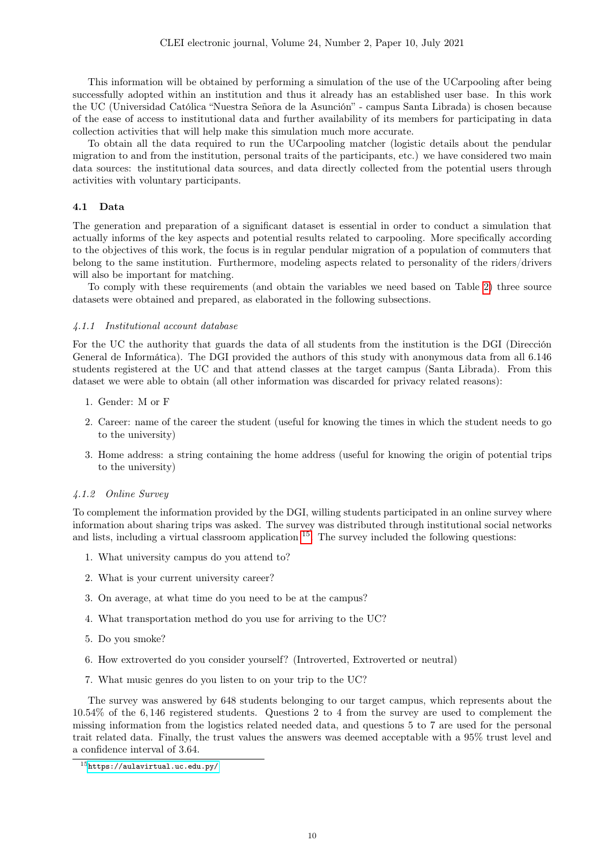This information will be obtained by performing a simulation of the use of the UCarpooling after being successfully adopted within an institution and thus it already has an established user base. In this work the UC (Universidad Católica "Nuestra Señora de la Asunción" - campus Santa Librada) is chosen because of the ease of access to institutional data and further availability of its members for participating in data collection activities that will help make this simulation much more accurate.

To obtain all the data required to run the UCarpooling matcher (logistic details about the pendular migration to and from the institution, personal traits of the participants, etc.) we have considered two main data sources: the institutional data sources, and data directly collected from the potential users through activities with voluntary participants.

## <span id="page-9-0"></span>4.1 Data

The generation and preparation of a significant dataset is essential in order to conduct a simulation that actually informs of the key aspects and potential results related to carpooling. More specifically according to the objectives of this work, the focus is in regular pendular migration of a population of commuters that belong to the same institution. Furthermore, modeling aspects related to personality of the riders/drivers will also be important for matching.

To comply with these requirements (and obtain the variables we need based on Table [2\)](#page-6-1) three source datasets were obtained and prepared, as elaborated in the following subsections.

## 4.1.1 Institutional account database

For the UC the authority that guards the data of all students from the institution is the DGI (Dirección General de Informática). The DGI provided the authors of this study with anonymous data from all 6.146 students registered at the UC and that attend classes at the target campus (Santa Librada). From this dataset we were able to obtain (all other information was discarded for privacy related reasons):

- 1. Gender: M or F
- 2. Career: name of the career the student (useful for knowing the times in which the student needs to go to the university)
- 3. Home address: a string containing the home address (useful for knowing the origin of potential trips to the university)

#### 4.1.2 Online Survey

To complement the information provided by the DGI, willing students participated in an online survey where information about sharing trips was asked. The survey was distributed through institutional social networks and lists, including a virtual classroom application  $^{15}$  $^{15}$  $^{15}$ . The survey included the following questions:

- 1. What university campus do you attend to?
- 2. What is your current university career?
- 3. On average, at what time do you need to be at the campus?
- 4. What transportation method do you use for arriving to the UC?
- 5. Do you smoke?
- 6. How extroverted do you consider yourself? (Introverted, Extroverted or neutral)
- 7. What music genres do you listen to on your trip to the UC?

The survey was answered by 648 students belonging to our target campus, which represents about the 10.54% of the 6, 146 registered students. Questions 2 to 4 from the survey are used to complement the missing information from the logistics related needed data, and questions 5 to 7 are used for the personal trait related data. Finally, the trust values the answers was deemed acceptable with a 95% trust level and a confidence interval of 3.64.

<span id="page-9-1"></span><sup>15</sup><https://aulavirtual.uc.edu.py/>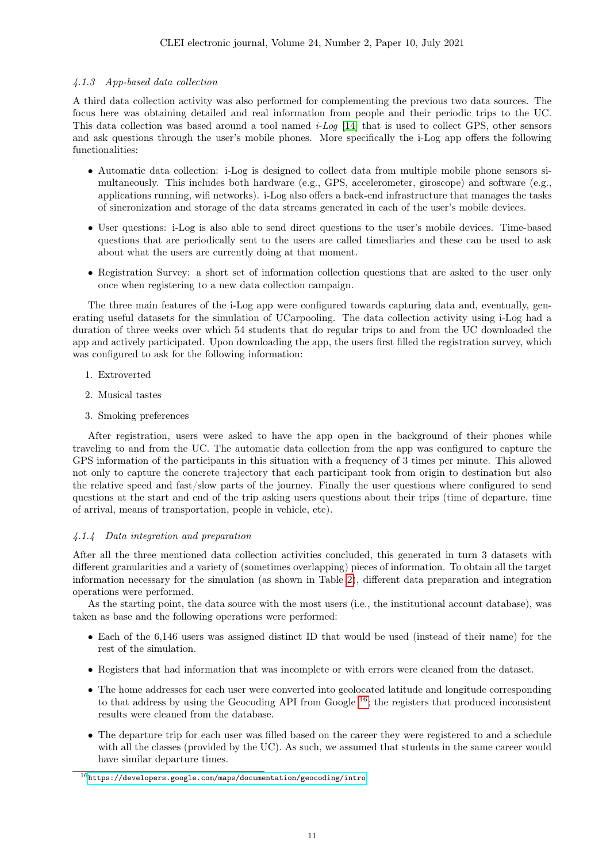## 4.1.3 App-based data collection

A third data collection activity was also performed for complementing the previous two data sources. The focus here was obtaining detailed and real information from people and their periodic trips to the UC. This data collection was based around a tool named i-Log [\[14\]](#page-16-4) that is used to collect GPS, other sensors and ask questions through the user's mobile phones. More specifically the i-Log app offers the following functionalities:

- Automatic data collection: i-Log is designed to collect data from multiple mobile phone sensors simultaneously. This includes both hardware (e.g., GPS, accelerometer, giroscope) and software (e.g., applications running, wifi networks). i-Log also offers a back-end infrastructure that manages the tasks of sincronization and storage of the data streams generated in each of the user's mobile devices.
- User questions: i-Log is also able to send direct questions to the user's mobile devices. Time-based questions that are periodically sent to the users are called timediaries and these can be used to ask about what the users are currently doing at that moment.
- Registration Survey: a short set of information collection questions that are asked to the user only once when registering to a new data collection campaign.

The three main features of the i-Log app were configured towards capturing data and, eventually, generating useful datasets for the simulation of UCarpooling. The data collection activity using i-Log had a duration of three weeks over which 54 students that do regular trips to and from the UC downloaded the app and actively participated. Upon downloading the app, the users first filled the registration survey, which was configured to ask for the following information:

- 1. Extroverted
- 2. Musical tastes
- 3. Smoking preferences

After registration, users were asked to have the app open in the background of their phones while traveling to and from the UC. The automatic data collection from the app was configured to capture the GPS information of the participants in this situation with a frequency of 3 times per minute. This allowed not only to capture the concrete trajectory that each participant took from origin to destination but also the relative speed and fast/slow parts of the journey. Finally the user questions where configured to send questions at the start and end of the trip asking users questions about their trips (time of departure, time of arrival, means of transportation, people in vehicle, etc).

## 4.1.4 Data integration and preparation

After all the three mentioned data collection activities concluded, this generated in turn 3 datasets with different granularities and a variety of (sometimes overlapping) pieces of information. To obtain all the target information necessary for the simulation (as shown in Table [2\)](#page-6-1), different data preparation and integration operations were performed.

As the starting point, the data source with the most users (i.e., the institutional account database), was taken as base and the following operations were performed:

- Each of the 6,146 users was assigned distinct ID that would be used (instead of their name) for the rest of the simulation.
- Registers that had information that was incomplete or with errors were cleaned from the dataset.
- The home addresses for each user were converted into geolocated latitude and longitude corresponding to that address by using the Geocoding API from Google  $^{16}$  $^{16}$  $^{16}$ ; the registers that produced inconsistent results were cleaned from the database.
- The departure trip for each user was filled based on the career they were registered to and a schedule with all the classes (provided by the UC). As such, we assumed that students in the same career would have similar departure times.

<span id="page-10-0"></span> $^{16}$ <https://developers.google.com/maps/documentation/geocoding/intro>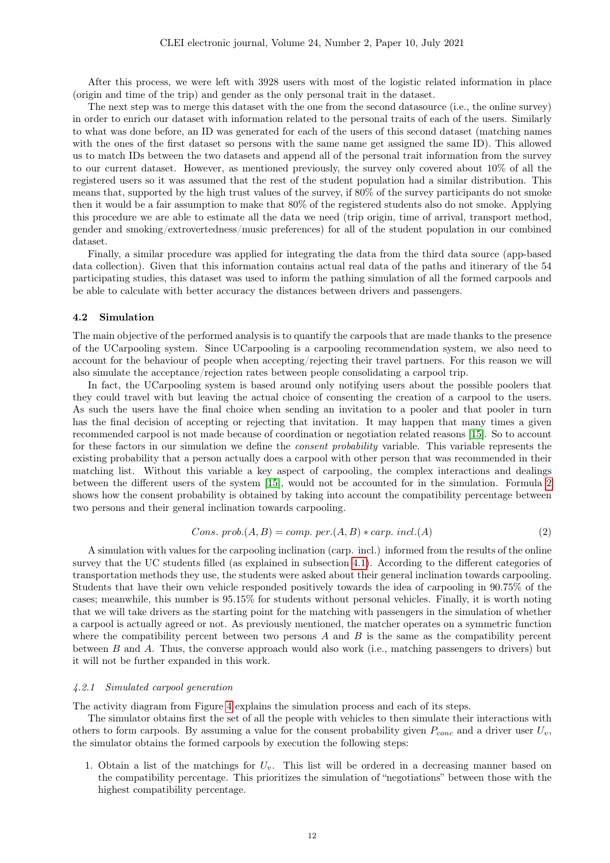After this process, we were left with 3928 users with most of the logistic related information in place (origin and time of the trip) and gender as the only personal trait in the dataset.

The next step was to merge this dataset with the one from the second datasource (i.e., the online survey) in order to enrich our dataset with information related to the personal traits of each of the users. Similarly to what was done before, an ID was generated for each of the users of this second dataset (matching names with the ones of the first dataset so persons with the same name get assigned the same ID). This allowed us to match IDs between the two datasets and append all of the personal trait information from the survey to our current dataset. However, as mentioned previously, the survey only covered about 10% of all the registered users so it was assumed that the rest of the student population had a similar distribution. This means that, supported by the high trust values of the survey, if 80% of the survey participants do not smoke then it would be a fair assumption to make that 80% of the registered students also do not smoke. Applying this procedure we are able to estimate all the data we need (trip origin, time of arrival, transport method, gender and smoking/extrovertedness/music preferences) for all of the student population in our combined dataset.

Finally, a similar procedure was applied for integrating the data from the third data source (app-based data collection). Given that this information contains actual real data of the paths and itinerary of the 54 participating studies, this dataset was used to inform the pathing simulation of all the formed carpools and be able to calculate with better accuracy the distances between drivers and passengers.

#### 4.2 Simulation

The main objective of the performed analysis is to quantify the carpools that are made thanks to the presence of the UCarpooling system. Since UCarpooling is a carpooling recommendation system, we also need to account for the behaviour of people when accepting/rejecting their travel partners. For this reason we will also simulate the acceptance/rejection rates between people consolidating a carpool trip.

In fact, the UCarpooling system is based around only notifying users about the possible poolers that they could travel with but leaving the actual choice of consenting the creation of a carpool to the users. As such the users have the final choice when sending an invitation to a pooler and that pooler in turn has the final decision of accepting or rejecting that invitation. It may happen that many times a given recommended carpool is not made because of coordination or negotiation related reasons [\[15\]](#page-16-5). So to account for these factors in our simulation we define the *consent probability* variable. This variable represents the existing probability that a person actually does a carpool with other person that was recommended in their matching list. Without this variable a key aspect of carpooling, the complex interactions and dealings between the different users of the system [\[15\]](#page-16-5), would not be accounted for in the simulation. Formula [2](#page-11-0) shows how the consent probability is obtained by taking into account the compatibility percentage between two persons and their general inclination towards carpooling.

<span id="page-11-0"></span>
$$
Cons. \; prob.(A, B) = comp. \; per.(A, B) * carp. \; incl.(A)
$$
\n
$$
(2)
$$

A simulation with values for the carpooling inclination (carp. incl.) informed from the results of the online survey that the UC students filled (as explained in subsection [4.1\)](#page-9-0). According to the different categories of transportation methods they use, the students were asked about their general inclination towards carpooling. Students that have their own vehicle responded positively towards the idea of carpooling in 90.75% of the cases; meanwhile, this number is 95.15% for students without personal vehicles. Finally, it is worth noting that we will take drivers as the starting point for the matching with passengers in the simulation of whether a carpool is actually agreed or not. As previously mentioned, the matcher operates on a symmetric function where the compatibility percent between two persons  $A$  and  $B$  is the same as the compatibility percent between B and A. Thus, the converse approach would also work (i.e., matching passengers to drivers) but it will not be further expanded in this work.

### 4.2.1 Simulated carpool generation

The activity diagram from Figure [4](#page-12-0) explains the simulation process and each of its steps.

The simulator obtains first the set of all the people with vehicles to then simulate their interactions with others to form carpools. By assuming a value for the consent probability given  $P_{conc}$  and a driver user  $U_v$ , the simulator obtains the formed carpools by execution the following steps:

1. Obtain a list of the matchings for  $U_v$ . This list will be ordered in a decreasing manner based on the compatibility percentage. This prioritizes the simulation of "negotiations" between those with the highest compatibility percentage.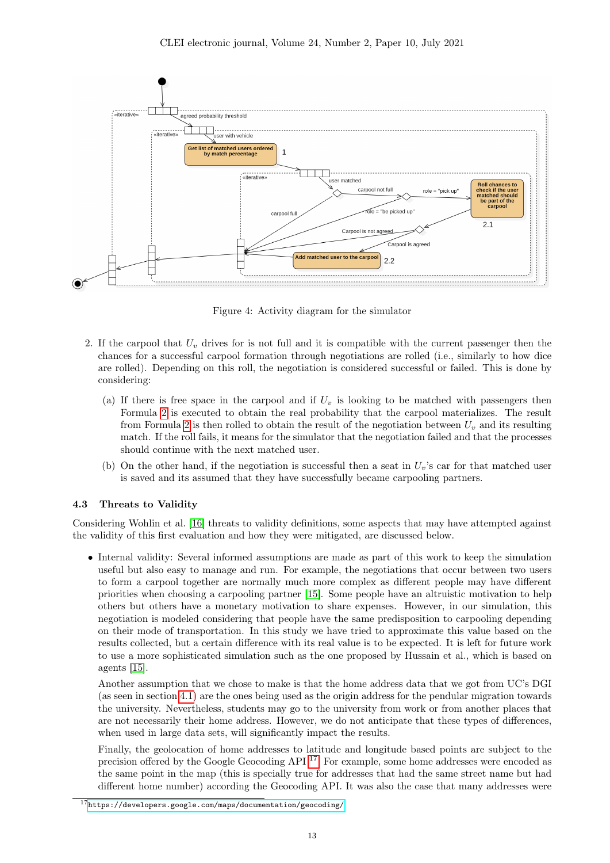

<span id="page-12-0"></span>Figure 4: Activity diagram for the simulator

- 2. If the carpool that  $U_v$  drives for is not full and it is compatible with the current passenger then the chances for a successful carpool formation through negotiations are rolled (i.e., similarly to how dice are rolled). Depending on this roll, the negotiation is considered successful or failed. This is done by considering:
	- (a) If there is free space in the carpool and if  $U_v$  is looking to be matched with passengers then Formula [2](#page-11-0) is executed to obtain the real probability that the carpool materializes. The result from Formula [2](#page-11-0) is then rolled to obtain the result of the negotiation between  $U<sub>v</sub>$  and its resulting match. If the roll fails, it means for the simulator that the negotiation failed and that the processes should continue with the next matched user.
	- (b) On the other hand, if the negotiation is successful then a seat in  $U_n$ 's car for that matched user is saved and its assumed that they have successfully became carpooling partners.

# 4.3 Threats to Validity

Considering Wohlin et al. [\[16\]](#page-16-6) threats to validity definitions, some aspects that may have attempted against the validity of this first evaluation and how they were mitigated, are discussed below.

• Internal validity: Several informed assumptions are made as part of this work to keep the simulation useful but also easy to manage and run. For example, the negotiations that occur between two users to form a carpool together are normally much more complex as different people may have different priorities when choosing a carpooling partner [\[15\]](#page-16-5). Some people have an altruistic motivation to help others but others have a monetary motivation to share expenses. However, in our simulation, this negotiation is modeled considering that people have the same predisposition to carpooling depending on their mode of transportation. In this study we have tried to approximate this value based on the results collected, but a certain difference with its real value is to be expected. It is left for future work to use a more sophisticated simulation such as the one proposed by Hussain et al., which is based on agents [\[15\]](#page-16-5).

Another assumption that we chose to make is that the home address data that we got from UC's DGI (as seen in section [4.1\)](#page-9-0) are the ones being used as the origin address for the pendular migration towards the university. Nevertheless, students may go to the university from work or from another places that are not necessarily their home address. However, we do not anticipate that these types of differences, when used in large data sets, will significantly impact the results.

Finally, the geolocation of home addresses to latitude and longitude based points are subject to the precision offered by the Google Geocoding API [17](#page-12-1). For example, some home addresses were encoded as the same point in the map (this is specially true for addresses that had the same street name but had different home number) according the Geocoding API. It was also the case that many addresses were

<span id="page-12-1"></span> $17$ <https://developers.google.com/maps/documentation/geocoding/>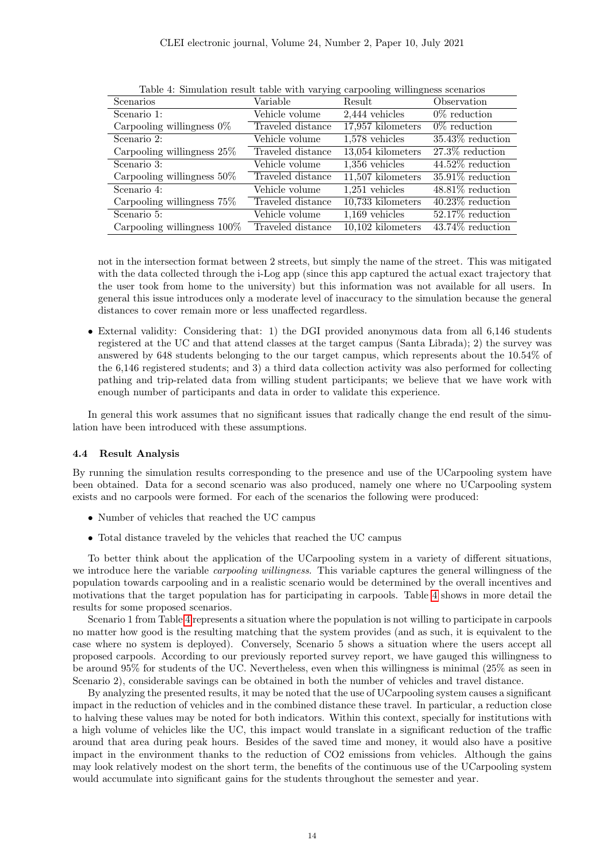| Scenarios                      | Variable          | Result              | Observation         |
|--------------------------------|-------------------|---------------------|---------------------|
| Scenario 1:                    | Vehicle volume    | $2,444$ vehicles    | $0\%$ reduction     |
| Carpooling willingness $0\%$   | Traveled distance | 17,957 kilometers   | $0\%$ reduction     |
| Scenario 2:                    | Vehicle volume    | $1,578$ vehicles    | $35.43\%$ reduction |
| Carpooling willingness 25%     | Traveled distance | $13,054$ kilometers | $27.3\%$ reduction  |
| Scenario 3:                    | Vehicle volume    | $1,356$ vehicles    | 44.52% reduction    |
| Carpooling willingness $50\%$  | Traveled distance | 11,507 kilometers   | $35.91\%$ reduction |
| Scenario 4:                    | Vehicle volume    | $1,251$ vehicles    | $48.81\%$ reduction |
| Carpooling willingness $75\%$  | Traveled distance | 10,733 kilometers   | $40.23\%$ reduction |
| Scenario 5:                    | Vehicle volume    | $1,169$ vehicles    | 52.17% reduction    |
| Carpooling willingness $100\%$ | Traveled distance | 10,102 kilometers   | 43.74% reduction    |

<span id="page-13-0"></span>Table 4: Simulation result table with varying carpooling willingness scenarios

not in the intersection format between 2 streets, but simply the name of the street. This was mitigated with the data collected through the i-Log app (since this app captured the actual exact trajectory that the user took from home to the university) but this information was not available for all users. In general this issue introduces only a moderate level of inaccuracy to the simulation because the general distances to cover remain more or less unaffected regardless.

• External validity: Considering that: 1) the DGI provided anonymous data from all 6,146 students registered at the UC and that attend classes at the target campus (Santa Librada); 2) the survey was answered by 648 students belonging to the our target campus, which represents about the 10.54% of the 6,146 registered students; and 3) a third data collection activity was also performed for collecting pathing and trip-related data from willing student participants; we believe that we have work with enough number of participants and data in order to validate this experience.

In general this work assumes that no significant issues that radically change the end result of the simulation have been introduced with these assumptions.

## 4.4 Result Analysis

By running the simulation results corresponding to the presence and use of the UCarpooling system have been obtained. Data for a second scenario was also produced, namely one where no UCarpooling system exists and no carpools were formed. For each of the scenarios the following were produced:

- Number of vehicles that reached the UC campus
- Total distance traveled by the vehicles that reached the UC campus

To better think about the application of the UCarpooling system in a variety of different situations, we introduce here the variable *carpooling willingness*. This variable captures the general willingness of the population towards carpooling and in a realistic scenario would be determined by the overall incentives and motivations that the target population has for participating in carpools. Table [4](#page-13-0) shows in more detail the results for some proposed scenarios.

Scenario 1 from Table [4](#page-13-0) represents a situation where the population is not willing to participate in carpools no matter how good is the resulting matching that the system provides (and as such, it is equivalent to the case where no system is deployed). Conversely, Scenario 5 shows a situation where the users accept all proposed carpools. According to our previously reported survey report, we have gauged this willingness to be around 95% for students of the UC. Nevertheless, even when this willingness is minimal (25% as seen in Scenario 2), considerable savings can be obtained in both the number of vehicles and travel distance.

By analyzing the presented results, it may be noted that the use of UCarpooling system causes a significant impact in the reduction of vehicles and in the combined distance these travel. In particular, a reduction close to halving these values may be noted for both indicators. Within this context, specially for institutions with a high volume of vehicles like the UC, this impact would translate in a significant reduction of the traffic around that area during peak hours. Besides of the saved time and money, it would also have a positive impact in the environment thanks to the reduction of CO2 emissions from vehicles. Although the gains may look relatively modest on the short term, the benefits of the continuous use of the UCarpooling system would accumulate into significant gains for the students throughout the semester and year.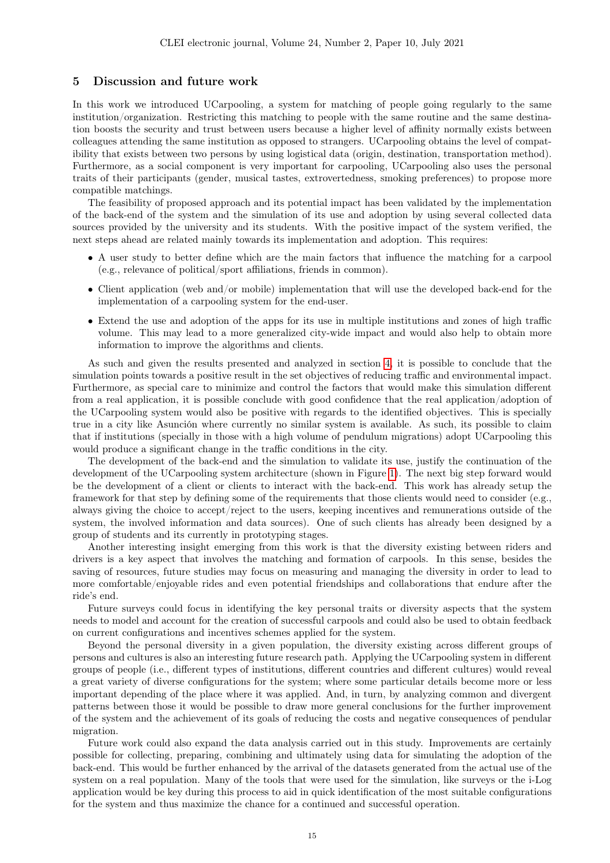## <span id="page-14-0"></span>5 Discussion and future work

In this work we introduced UCarpooling, a system for matching of people going regularly to the same institution/organization. Restricting this matching to people with the same routine and the same destination boosts the security and trust between users because a higher level of affinity normally exists between colleagues attending the same institution as opposed to strangers. UCarpooling obtains the level of compatibility that exists between two persons by using logistical data (origin, destination, transportation method). Furthermore, as a social component is very important for carpooling, UCarpooling also uses the personal traits of their participants (gender, musical tastes, extrovertedness, smoking preferences) to propose more compatible matchings.

The feasibility of proposed approach and its potential impact has been validated by the implementation of the back-end of the system and the simulation of its use and adoption by using several collected data sources provided by the university and its students. With the positive impact of the system verified, the next steps ahead are related mainly towards its implementation and adoption. This requires:

- A user study to better define which are the main factors that influence the matching for a carpool (e.g., relevance of political/sport affiliations, friends in common).
- Client application (web and/or mobile) implementation that will use the developed back-end for the implementation of a carpooling system for the end-user.
- Extend the use and adoption of the apps for its use in multiple institutions and zones of high traffic volume. This may lead to a more generalized city-wide impact and would also help to obtain more information to improve the algorithms and clients.

As such and given the results presented and analyzed in section [4,](#page-8-0) it is possible to conclude that the simulation points towards a positive result in the set objectives of reducing traffic and environmental impact. Furthermore, as special care to minimize and control the factors that would make this simulation different from a real application, it is possible conclude with good confidence that the real application/adoption of the UCarpooling system would also be positive with regards to the identified objectives. This is specially true in a city like Asunción where currently no similar system is available. As such, its possible to claim that if institutions (specially in those with a high volume of pendulum migrations) adopt UCarpooling this would produce a significant change in the traffic conditions in the city.

The development of the back-end and the simulation to validate its use, justify the continuation of the development of the UCarpooling system architecture (shown in Figure [1\)](#page-4-0). The next big step forward would be the development of a client or clients to interact with the back-end. This work has already setup the framework for that step by defining some of the requirements that those clients would need to consider (e.g., always giving the choice to accept/reject to the users, keeping incentives and remunerations outside of the system, the involved information and data sources). One of such clients has already been designed by a group of students and its currently in prototyping stages.

Another interesting insight emerging from this work is that the diversity existing between riders and drivers is a key aspect that involves the matching and formation of carpools. In this sense, besides the saving of resources, future studies may focus on measuring and managing the diversity in order to lead to more comfortable/enjoyable rides and even potential friendships and collaborations that endure after the ride's end.

Future surveys could focus in identifying the key personal traits or diversity aspects that the system needs to model and account for the creation of successful carpools and could also be used to obtain feedback on current configurations and incentives schemes applied for the system.

Beyond the personal diversity in a given population, the diversity existing across different groups of persons and cultures is also an interesting future research path. Applying the UCarpooling system in different groups of people (i.e., different types of institutions, different countries and different cultures) would reveal a great variety of diverse configurations for the system; where some particular details become more or less important depending of the place where it was applied. And, in turn, by analyzing common and divergent patterns between those it would be possible to draw more general conclusions for the further improvement of the system and the achievement of its goals of reducing the costs and negative consequences of pendular migration.

Future work could also expand the data analysis carried out in this study. Improvements are certainly possible for collecting, preparing, combining and ultimately using data for simulating the adoption of the back-end. This would be further enhanced by the arrival of the datasets generated from the actual use of the system on a real population. Many of the tools that were used for the simulation, like surveys or the i-Log application would be key during this process to aid in quick identification of the most suitable configurations for the system and thus maximize the chance for a continued and successful operation.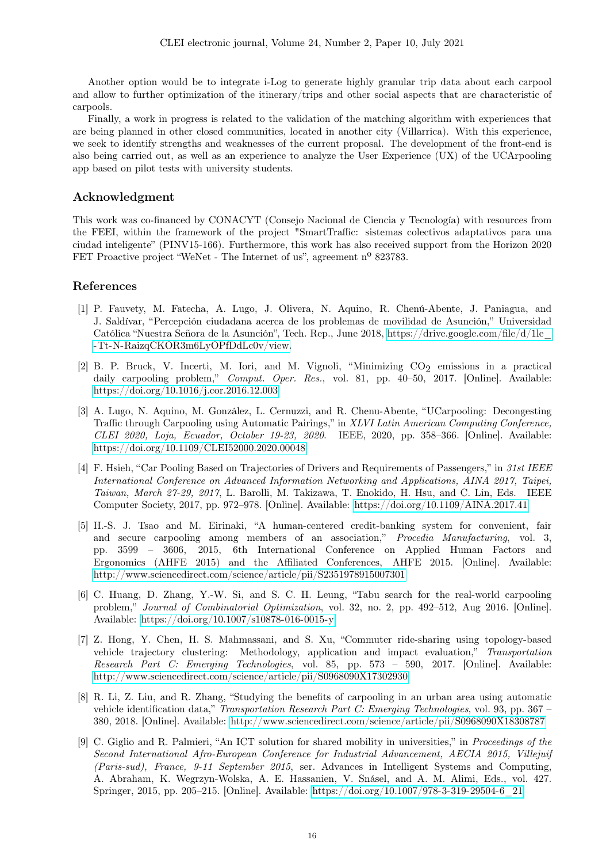Another option would be to integrate i-Log to generate highly granular trip data about each carpool and allow to further optimization of the itinerary/trips and other social aspects that are characteristic of carpools.

Finally, a work in progress is related to the validation of the matching algorithm with experiences that are being planned in other closed communities, located in another city (Villarrica). With this experience, we seek to identify strengths and weaknesses of the current proposal. The development of the front-end is also being carried out, as well as an experience to analyze the User Experience (UX) of the UCArpooling app based on pilot tests with university students.

# Acknowledgment

This work was co-financed by CONACYT (Consejo Nacional de Ciencia y Tecnología) with resources from the FEEI, within the framework of the project "SmartTraffic: sistemas colectivos adaptativos para una ciudad inteligente" (PINV15-166). Furthermore, this work has also received support from the Horizon 2020 FET Proactive project "WeNet - The Internet of us", agreement n<sup>o</sup> 823783.

# References

- <span id="page-15-0"></span>[1] P. Fauvety, M. Fatecha, A. Lugo, J. Olivera, N. Aquino, R. Chenú-Abente, J. Paniagua, and J. Saldívar, "Percepción ciudadana acerca de los problemas de movilidad de Asunción," Universidad Católica "Nuestra Señora de la Asunción", Tech. Rep., June 2018, [https://drive.google.com/file/d/1le\\_](https://drive.google.com/file/d/1le_-Tt-N-RaizqCKOR3m6LyOPfDdLc0v/view) [-Tt-N-RaizqCKOR3m6LyOPfDdLc0v/view.](https://drive.google.com/file/d/1le_-Tt-N-RaizqCKOR3m6LyOPfDdLc0v/view)
- <span id="page-15-1"></span>[2] B. P. Bruck, V. Incerti, M. Iori, and M. Vignoli, "Minimizing  $CO_2$  emissions in a practical daily carpooling problem," Comput. Oper. Res., vol. 81, pp. 40-50, 2017. [Online]. Available: <https://doi.org/10.1016/j.cor.2016.12.003>
- <span id="page-15-2"></span>[3] A. Lugo, N. Aquino, M. González, L. Cernuzzi, and R. Chenu-Abente, "UCarpooling: Decongesting Traffic through Carpooling using Automatic Pairings," in XLVI Latin American Computing Conference, CLEI 2020, Loja, Ecuador, October 19-23, 2020. IEEE, 2020, pp. 358–366. [Online]. Available: <https://doi.org/10.1109/CLEI52000.2020.00048>
- <span id="page-15-4"></span>[4] F. Hsieh, "Car Pooling Based on Trajectories of Drivers and Requirements of Passengers," in 31st IEEE International Conference on Advanced Information Networking and Applications, AINA 2017, Taipei, Taiwan, March 27-29, 2017, L. Barolli, M. Takizawa, T. Enokido, H. Hsu, and C. Lin, Eds. IEEE Computer Society, 2017, pp. 972–978. [Online]. Available:<https://doi.org/10.1109/AINA.2017.41>
- <span id="page-15-3"></span>[5] H.-S. J. Tsao and M. Eirinaki, "A human-centered credit-banking system for convenient, fair and secure carpooling among members of an association," Procedia Manufacturing, vol. 3, pp. 3599 – 3606, 2015, 6th International Conference on Applied Human Factors and Ergonomics (AHFE 2015) and the Affiliated Conferences, AHFE 2015. [Online]. Available: <http://www.sciencedirect.com/science/article/pii/S2351978915007301>
- <span id="page-15-5"></span>[6] C. Huang, D. Zhang, Y.-W. Si, and S. C. H. Leung, "Tabu search for the real-world carpooling problem," Journal of Combinatorial Optimization, vol. 32, no. 2, pp. 492-512, Aug 2016. [Online]. Available:<https://doi.org/10.1007/s10878-016-0015-y>
- <span id="page-15-6"></span>[7] Z. Hong, Y. Chen, H. S. Mahmassani, and S. Xu, "Commuter ride-sharing using topology-based vehicle trajectory clustering: Methodology, application and impact evaluation," Transportation Research Part C: Emerging Technologies, vol. 85, pp. 573 – 590, 2017. [Online]. Available: <http://www.sciencedirect.com/science/article/pii/S0968090X17302930>
- <span id="page-15-7"></span>[8] R. Li, Z. Liu, and R. Zhang, "Studying the benefits of carpooling in an urban area using automatic vehicle identification data," Transportation Research Part C: Emerging Technologies, vol. 93, pp. 367 – 380, 2018. [Online]. Available:<http://www.sciencedirect.com/science/article/pii/S0968090X18308787>
- <span id="page-15-8"></span>[9] C. Giglio and R. Palmieri, "An ICT solution for shared mobility in universities," in Proceedings of the Second International Afro-European Conference for Industrial Advancement, AECIA 2015, Villejuif (Paris-sud), France, 9-11 September 2015, ser. Advances in Intelligent Systems and Computing, A. Abraham, K. Wegrzyn-Wolska, A. E. Hassanien, V. Snásel, and A. M. Alimi, Eds., vol. 427. Springer, 2015, pp. 205–215. [Online]. Available: [https://doi.org/10.1007/978-3-319-29504-6\\_21](https://doi.org/10.1007/978-3-319-29504-6_21)